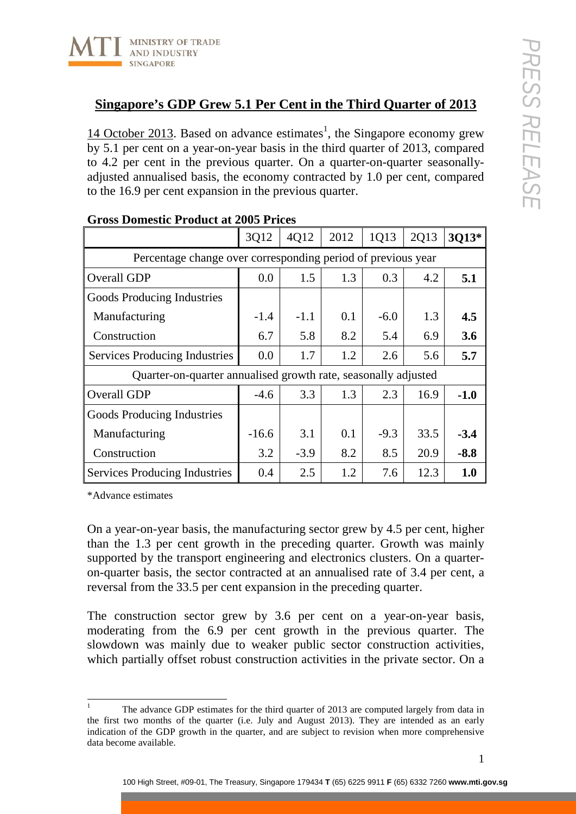

## **Singapore's GDP Grew 5.1 Per Cent in the Third Quarter of 2013**

14 October 2013. Based on advance estimates<sup>1</sup>, the Singapore economy grew by 5.1 per cent on a year-on-year basis in the third quarter of 2013, compared to 4.2 per cent in the previous quarter. On a quarter-on-quarter seasonallyadjusted annualised basis, the economy contracted by 1.0 per cent, compared to the 16.9 per cent expansion in the previous quarter.

|                                                                | 3Q12    | 4Q12   | 2012 | 1Q13   | 2Q13 | 3013*  |
|----------------------------------------------------------------|---------|--------|------|--------|------|--------|
| Percentage change over corresponding period of previous year   |         |        |      |        |      |        |
| Overall GDP                                                    | 0.0     | 1.5    | 1.3  | 0.3    | 4.2  | 5.1    |
| Goods Producing Industries                                     |         |        |      |        |      |        |
| Manufacturing                                                  | $-1.4$  | $-1.1$ | 0.1  | $-6.0$ | 1.3  | 4.5    |
| Construction                                                   | 6.7     | 5.8    | 8.2  | 5.4    | 6.9  | 3.6    |
| <b>Services Producing Industries</b>                           | 0.0     | 1.7    | 1.2  | 2.6    | 5.6  | 5.7    |
| Quarter-on-quarter annualised growth rate, seasonally adjusted |         |        |      |        |      |        |
| Overall GDP                                                    | $-4.6$  | 3.3    | 1.3  | 2.3    | 16.9 | $-1.0$ |
| Goods Producing Industries                                     |         |        |      |        |      |        |
| Manufacturing                                                  | $-16.6$ | 3.1    | 0.1  | $-9.3$ | 33.5 | $-3.4$ |
| Construction                                                   | 3.2     | $-3.9$ | 8.2  | 8.5    | 20.9 | $-8.8$ |
| <b>Services Producing Industries</b>                           | 0.4     | 2.5    | 1.2  | 7.6    | 12.3 | 1.0    |

## **Gross Domestic Product at 2005 Prices**

\*Advance estimates

On a year-on-year basis, the manufacturing sector grew by 4.5 per cent, higher than the 1.3 per cent growth in the preceding quarter. Growth was mainly supported by the transport engineering and electronics clusters. On a quarteron-quarter basis, the sector contracted at an annualised rate of 3.4 per cent, a reversal from the 33.5 per cent expansion in the preceding quarter.

The construction sector grew by 3.6 per cent on a year-on-year basis, moderating from the 6.9 per cent growth in the previous quarter. The slowdown was mainly due to weaker public sector construction activities, which partially offset robust construction activities in the private sector. On a

<sup>&</sup>lt;sup>1</sup> The advance GDP estimates for the third quarter of 2013 are computed largely from data in the first two months of the quarter (i.e. July and August 2013). They are intended as an early indication of the GDP growth in the quarter, and are subject to revision when more comprehensive data become available.